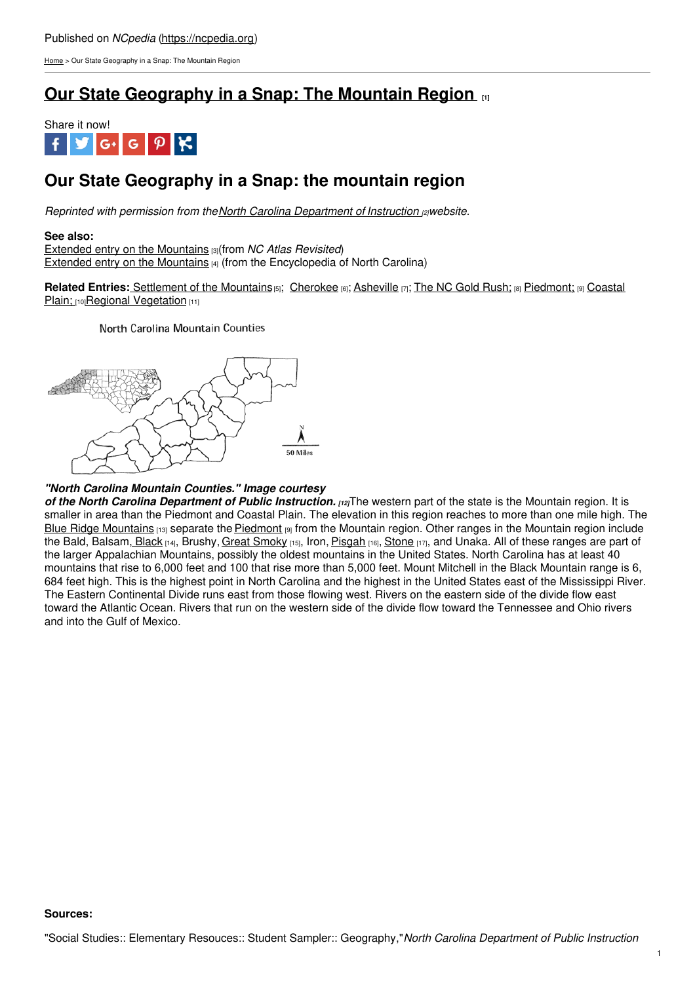[Home](https://ncpedia.org/) > Our State Geography in a Snap: The Mountain Region

# **Our State [Geography](https://ncpedia.org/our-state-geography-snap-mountain) in a Snap: The Mountain Region [1]**



# **Our State Geography in a Snap: the mountain region**

*Reprinted with permission from theNorth Carolina [Department](https://www.dpi.nc.gov/) of Instruction [2]website.*

## **See also:**

Extended entry on the [Mountains](https://ncpedia.org/geography/region/mountains/ncatlasrevisited) [3](from *NC Atlas Revisited*) Extended entry on the [Mountains](https://ncpedia.org/geography-part-4-rugged-beauty-and) [4] (from the Encyclopedia of North Carolina)

**Related Entries:** [Settlement](https://ncpedia.org/geography/region/coastal-plain) of the Mountains<sup>[5]</sup>; [Cherokee](https://ncpedia.org/cherokee/overview) [6]; [Asheville](https://ncpedia.org/geography/asheville) [7]; The NC Gold [Rush;](https://ncpedia.org/industry/gold-rush) [8] [Piedmont;](https://ncpedia.org/geography/region/piedmont) [9] Coastal Plain; [10] Regional [Vegetation](https://ncpedia.org/vegetation) [11]

North Carolina Mountain Counties



## *"North Carolina Mountain Counties." Image courtesy*

*of the North Carolina [Department](https://www.dpi.nc.gov) of Public Instruction. [12]*The western part of the state is the Mountain region. It is smaller in area than the Piedmont and Coastal Plain. The elevation in this region reaches to more than one mile high. The Blue Ridge [Mountains](https://www.blueridgeparkway.org/) [13] separate the [Piedmont](https://ncpedia.org/geography/region/piedmont) [9] from the Mountain region. Other ranges in the Mountain region include the Bald, Balsam, [Black](https://www.exploreblackmountain.com/) [14], Brushy, Great [Smoky](https://www.nps.gov/grsm/index.htm) [15], Iron, [Pisgah](https://www.blueridgeheritage.com/destinations/pisgah-national-forest/) [16], [Stone](https://www.ncparks.gov/stone-mountain-state-park/home) [17], and Unaka. All of these ranges are part of the larger Appalachian Mountains, possibly the oldest mountains in the United States. North Carolina has at least 40 mountains that rise to 6,000 feet and 100 that rise more than 5,000 feet. Mount Mitchell in the Black Mountain range is 6, 684 feet high. This is the highest point in North Carolina and the highest in the United States east of the Mississippi River. The Eastern Continental Divide runs east from those flowing west. Rivers on the eastern side of the divide flow east toward the Atlantic Ocean. Rivers that run on the western side of the divide flow toward the Tennessee and Ohio rivers and into the Gulf of Mexico.

## **Sources:**

"Social Studies:: Elementary Resouces:: Student Sampler:: Geography,"*North Carolina Department of Public Instruction*